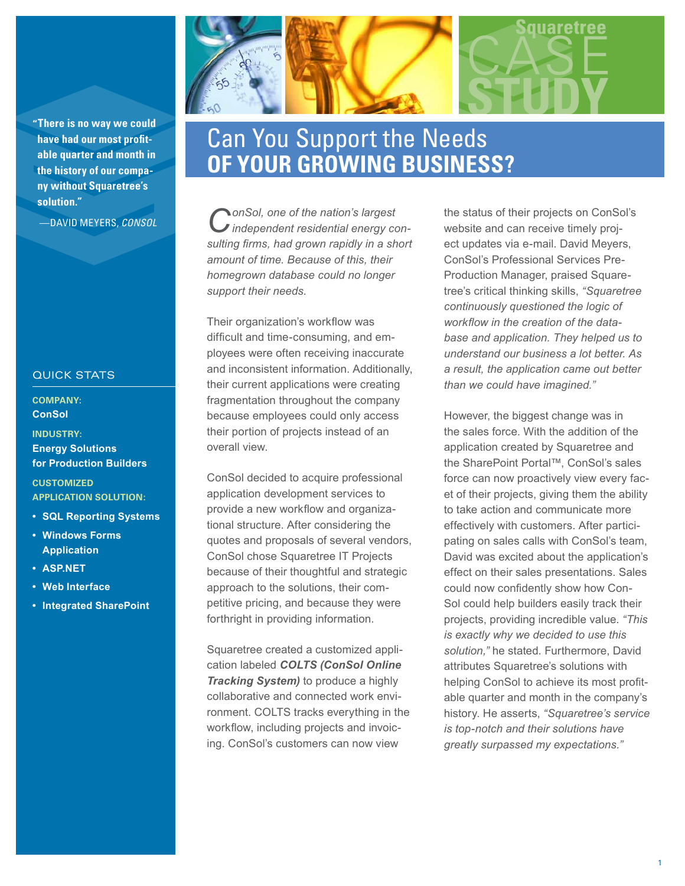**"There is no way we could have had our most profitable quarter and month in the history of our company without Squaretree's solution."**

—DAVID MEYERS, *CONSOL*

## QUICK STATS

**COMPANY: ConSol** 

**INDUSTRY: Energy Solutions for Production Builders**

**CUSTOMIZED APPLICATION SOLUTION:**

- **• SQL Reporting Systems**
- **• Windows Forms Application**
- **• ASP.NET**
- **• Web Interface**
- **• Integrated SharePoint**



## Can You Support the Needs **OF YOUR GROWING BUSINESS?**

*ConSol, one of the nation's largest independent residential energy consulting firms, had grown rapidly in a short amount of time. Because of this, their homegrown database could no longer support their needs.*

Their organization's workflow was difficult and time-consuming, and employees were often receiving inaccurate and inconsistent information. Additionally, their current applications were creating fragmentation throughout the company because employees could only access their portion of projects instead of an overall view.

ConSol decided to acquire professional application development services to provide a new workflow and organizational structure. After considering the quotes and proposals of several vendors, ConSol chose Squaretree IT Projects because of their thoughtful and strategic approach to the solutions, their competitive pricing, and because they were forthright in providing information.

Squaretree created a customized application labeled *COLTS (ConSol Online Tracking System)* to produce a highly collaborative and connected work environment. COLTS tracks everything in the workflow, including projects and invoicing. ConSol's customers can now view

the status of their projects on ConSol's website and can receive timely project updates via e-mail. David Meyers, ConSol's Professional Services Pre-Production Manager, praised Squaretree's critical thinking skills, *"Squaretree continuously questioned the logic of workflow in the creation of the database and application. They helped us to understand our business a lot better. As a result, the application came out better than we could have imagined."*

However, the biggest change was in the sales force. With the addition of the application created by Squaretree and the SharePoint Portal™, ConSol's sales force can now proactively view every facet of their projects, giving them the ability to take action and communicate more effectively with customers. After participating on sales calls with ConSol's team, David was excited about the application's effect on their sales presentations. Sales could now confidently show how Con-Sol could help builders easily track their projects, providing incredible value. *"This is exactly why we decided to use this solution,"* he stated. Furthermore, David attributes Squaretree's solutions with helping ConSol to achieve its most profitable quarter and month in the company's history. He asserts, *"Squaretree's service is top-notch and their solutions have greatly surpassed my expectations."*